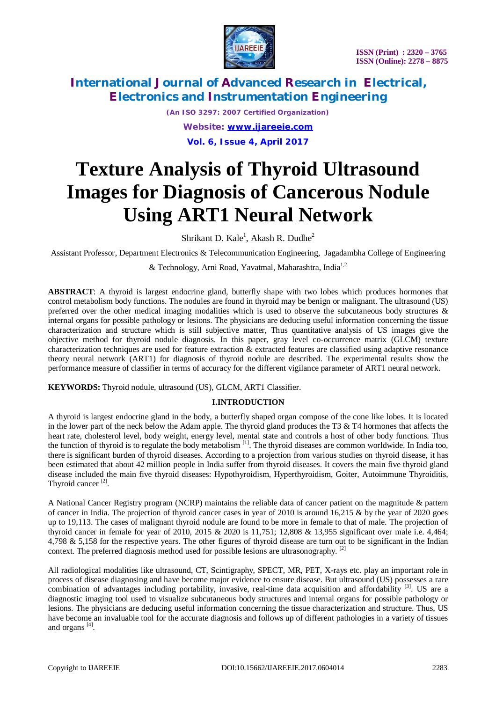

*(An ISO 3297: 2007 Certified Organization) Website: [www.ijareeie.com](http://www.ijareeie.com)* **Vol. 6, Issue 4, April 2017**

# **Texture Analysis of Thyroid Ultrasound Images for Diagnosis of Cancerous Nodule Using ART1 Neural Network**

Shrikant D. Kale<sup>1</sup>, Akash R. Dudhe<sup>2</sup>

Assistant Professor, Department Electronics & Telecommunication Engineering, Jagadambha College of Engineering

& Technology, Arni Road, Yavatmal, Maharashtra, India1,2

**ABSTRACT**: A thyroid is largest endocrine gland, butterfly shape with two lobes which produces hormones that control metabolism body functions. The nodules are found in thyroid may be benign or malignant. The ultrasound (US) preferred over the other medical imaging modalities which is used to observe the subcutaneous body structures & internal organs for possible pathology or lesions. The physicians are deducing useful information concerning the tissue characterization and structure which is still subjective matter, Thus quantitative analysis of US images give the objective method for thyroid nodule diagnosis. In this paper, gray level co-occurrence matrix (GLCM) texture characterization techniques are used for feature extraction & extracted features are classified using adaptive resonance theory neural network (ART1) for diagnosis of thyroid nodule are described. The experimental results show the performance measure of classifier in terms of accuracy for the different vigilance parameter of ART1 neural network.

**KEYWORDS:** Thyroid nodule, ultrasound (US), GLCM, ART1 Classifier.

#### **I.INTRODUCTION**

A thyroid is largest endocrine gland in the body, a butterfly shaped organ compose of the cone like lobes. It is located in the lower part of the neck below the Adam apple. The thyroid gland produces the T3  $&$  T4 hormones that affects the heart rate, cholesterol level, body weight, energy level, mental state and controls a host of other body functions. Thus the function of thyroid is to regulate the body metabolism  $[1]$ . The thyroid diseases are common worldwide. In India too, there is significant burden of thyroid diseases. According to a projection from various studies on thyroid disease, it has been estimated that about 42 million people in India suffer from thyroid diseases. It covers the main five thyroid gland disease included the main five thyroid diseases: Hypothyroidism, Hyperthyroidism, Goiter, Autoimmune Thyroiditis, Thyroid cancer<sup>[2]</sup>.

A National Cancer Registry program (NCRP) maintains the reliable data of cancer patient on the magnitude & pattern of cancer in India. The projection of thyroid cancer cases in year of 2010 is around  $16.215 \&$  by the year of 2020 goes up to 19,113. The cases of malignant thyroid nodule are found to be more in female to that of male. The projection of thyroid cancer in female for year of 2010, 2015 & 2020 is 11,751; 12,808 & 13,955 significant over male i.e. 4,464; 4,798 & 5,158 for the respective years. The other figures of thyroid disease are turn out to be significant in the Indian context. The preferred diagnosis method used for possible lesions are ultrasonography.<sup>[2]</sup>

All radiological modalities like ultrasound, CT, Scintigraphy, SPECT, MR, PET, X-rays etc. play an important role in process of disease diagnosing and have become major evidence to ensure disease. But ultrasound (US) possesses a rare combination of advantages including portability, invasive, real-time data acquisition and affordability  $^{[3]}$ . US are a diagnostic imaging tool used to visualize subcutaneous body structures and internal organs for possible pathology or lesions. The physicians are deducing useful information concerning the tissue characterization and structure. Thus, US have become an invaluable tool for the accurate diagnosis and follows up of different pathologies in a variety of tissues and organs<sup>[4]</sup>.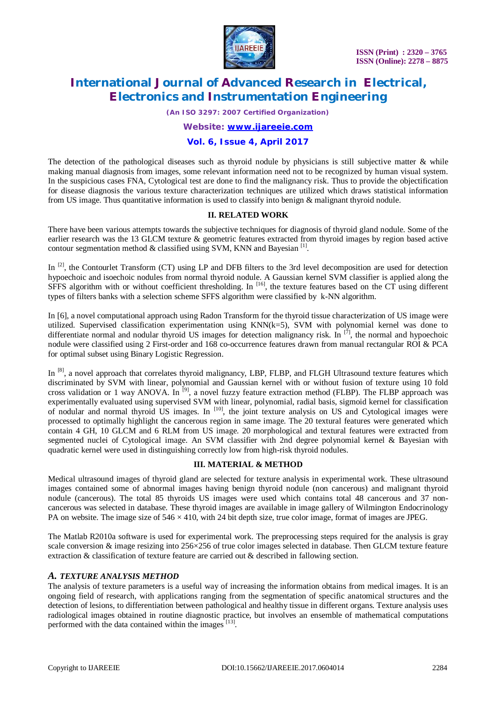

*(An ISO 3297: 2007 Certified Organization)*

#### *Website: [www.ijareeie.com](http://www.ijareeie.com)*

### **Vol. 6, Issue 4, April 2017**

The detection of the pathological diseases such as thyroid nodule by physicians is still subjective matter  $\&$  while making manual diagnosis from images, some relevant information need not to be recognized by human visual system. In the suspicious cases FNA, Cytological test are done to find the malignancy risk. Thus to provide the objectification for disease diagnosis the various texture characterization techniques are utilized which draws statistical information from US image. Thus quantitative information is used to classify into benign & malignant thyroid nodule.

#### **II. RELATED WORK**

There have been various attempts towards the subjective techniques for diagnosis of thyroid gland nodule. Some of the earlier research was the 13 GLCM texture & geometric features extracted from thyroid images by region based active contour segmentation method  $\&$  classified using SVM, KNN and Bayesian<sup>[1]</sup>.

In <sup>[2]</sup>, the Contourlet Transform (CT) using LP and DFB filters to the 3rd level decomposition are used for detection hypoechoic and isoechoic nodules from normal thyroid nodule. A Gaussian kernel SVM classifier is applied along the SFFS algorithm with or without coefficient thresholding. In  $^{[16]}$ , the texture features based on the CT using different types of filters banks with a selection scheme SFFS algorithm were classified by k-NN algorithm.

In [6], a novel computational approach using Radon Transform for the thyroid tissue characterization of US image were utilized. Supervised classification experimentation using  $KNN(k=5)$ , SVM with polynomial kernel was done to differentiate normal and nodular thyroid US images for detection malignancy risk. In  $^{[7]}$ , the normal and hypoechoic nodule were classified using 2 First-order and 168 co-occurrence features drawn from manual rectangular ROI & PCA for optimal subset using Binary Logistic Regression.

In <sup>[8]</sup>, a novel approach that correlates thyroid malignancy, LBP, FLBP, and FLGH Ultrasound texture features which discriminated by SVM with linear, polynomial and Gaussian kernel with or without fusion of texture using 10 fold cross validation or 1 way ANOVA. In <sup>[9]</sup>, a novel fuzzy feature extraction method (FLBP). The FLBP approach was experimentally evaluated using supervised SVM with linear, polynomial, radial basis, sigmoid kernel for classification of nodular and normal thyroid US images. In [10], the joint texture analysis on US and Cytological images were processed to optimally highlight the cancerous region in same image. The 20 textural features were generated which contain 4 GH, 10 GLCM and 6 RLM from US image. 20 morphological and textural features were extracted from segmented nuclei of Cytological image. An SVM classifier with 2nd degree polynomial kernel & Bayesian with quadratic kernel were used in distinguishing correctly low from high-risk thyroid nodules.

### **III. MATERIAL & METHOD**

Medical ultrasound images of thyroid gland are selected for texture analysis in experimental work. These ultrasound images contained some of abnormal images having benign thyroid nodule (non cancerous) and malignant thyroid nodule (cancerous). The total 85 thyroids US images were used which contains total 48 cancerous and 37 noncancerous was selected in database. These thyroid images are available in image gallery of Wilmington Endocrinology PA on website. The image size of  $546 \times 410$ , with 24 bit depth size, true color image, format of images are JPEG.

The Matlab R2010a software is used for experimental work. The preprocessing steps required for the analysis is gray scale conversion & image resizing into 256×256 of true color images selected in database. Then GLCM texture feature extraction & classification of texture feature are carried out & described in fallowing section.

### *A. TEXTURE ANALYSIS METHOD*

The analysis of texture parameters is a useful way of increasing the information obtains from medical images. It is an ongoing field of research, with applications ranging from the segmentation of specific anatomical structures and the detection of lesions, to differentiation between pathological and healthy tissue in different organs. Texture analysis uses radiological images obtained in routine diagnostic practice, but involves an ensemble of mathematical computations performed with the data contained within the images [13].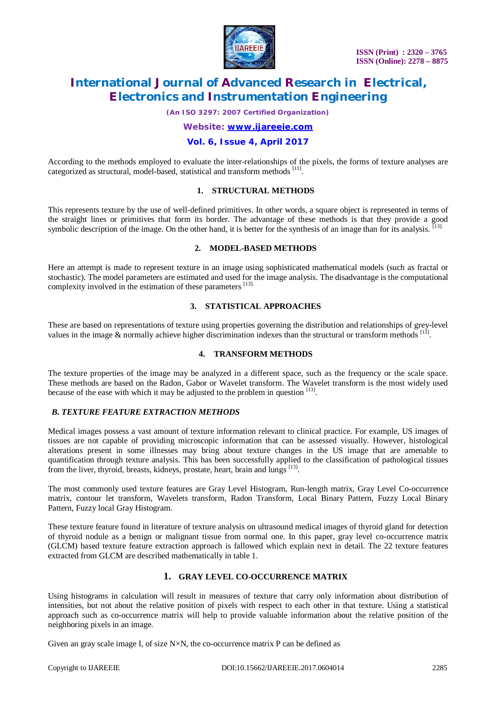

*(An ISO 3297: 2007 Certified Organization)*

*Website: [www.ijareeie.com](http://www.ijareeie.com)*

### **Vol. 6, Issue 4, April 2017**

According to the methods employed to evaluate the inter-relationships of the pixels, the forms of texture analyses are categorized as structural, model-based, statistical and transform methods [11].

#### **1. STRUCTURAL METHODS**

This represents texture by the use of well-defined primitives. In other words, a square object is represented in terms of the straight lines or primitives that form its border. The advantage of these methods is that they provide a good symbolic description of the image. On the other hand, it is better for the synthesis of an image than for its analysis. [13].

#### **2. MODEL-BASED METHODS**

Here an attempt is made to represent texture in an image using sophisticated mathematical models (such as fractal or stochastic). The model parameters are estimated and used for the image analysis. The disadvantage is the computational complexity involved in the estimation of these parameters [13].

#### **3. STATISTICAL APPROACHES**

These are based on representations of texture using properties governing the distribution and relationships of grey-level values in the image  $\&$  normally achieve higher discrimination indexes than the structural or transform methods  $^{[13]}$ .

### **4. TRANSFORM METHODS**

The texture properties of the image may be analyzed in a different space, such as the frequency or the scale space. These methods are based on the Radon, Gabor or Wavelet transform. The Wavelet transform is the most widely used because of the ease with which it may be adjusted to the problem in question [13].

#### *B. TEXTURE FEATURE EXTRACTION METHODS*

Medical images possess a vast amount of texture information relevant to clinical practice. For example, US images of tissues are not capable of providing microscopic information that can be assessed visually. However, histological alterations present in some illnesses may bring about texture changes in the US image that are amenable to quantification through texture analysis. This has been successfully applied to the classification of pathological tissues from the liver, thyroid, breasts, kidneys, prostate, heart, brain and lungs [13].

The most commonly used texture features are Gray Level Histogram, Run-length matrix, Gray Level Co-occurrence matrix, contour let transform, Wavelets transform, Radon Transform, Local Binary Pattern, Fuzzy Local Binary Pattern, Fuzzy local Gray Histogram.

These texture feature found in literature of texture analysis on ultrasound medical images of thyroid gland for detection of thyroid nodule as a benign or malignant tissue from normal one. In this paper, gray level co-occurrence matrix (GLCM) based texture feature extraction approach is fallowed which explain next in detail. The 22 texture features extracted from GLCM are described mathematically in table 1.

#### **1. GRAY LEVEL CO-OCCURRENCE MATRIX**

Using histograms in calculation will result in measures of texture that carry only information about distribution of intensities, but not about the relative position of pixels with respect to each other in that texture. Using a statistical approach such as co-occurrence matrix will help to provide valuable information about the relative position of the neighboring pixels in an image.

Given an gray scale image I, of size  $N \times N$ , the co-occurrence matrix P can be defined as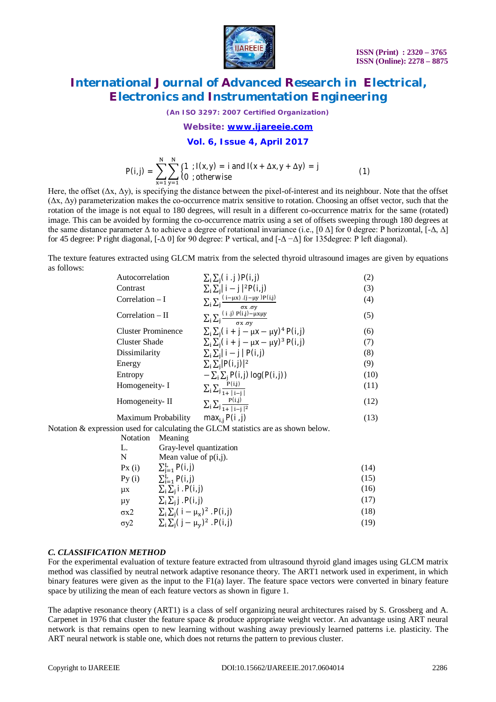

*(An ISO 3297: 2007 Certified Organization)*

#### *Website: [www.ijareeie.com](http://www.ijareeie.com)*

#### **Vol. 6, Issue 4, April 2017**

$$
P(i,j) = \sum_{x=1}^{N} \sum_{y=1}^{N} \begin{cases} 1 &; I(x,y) = i \text{ and } I(x + \Delta x, y + \Delta y) = j \\ 0 &; \text{otherwise} \end{cases}
$$
(1)

Here, the offset  $(\Delta x, \Delta y)$ , is specifying the distance between the pixel-of-interest and its neighbour. Note that the offset  $(\Delta x, \Delta y)$  parameterization makes the co-occurrence matrix sensitive to rotation. Choosing an offset vector, such that the rotation of the image is not equal to 180 degrees, will result in a different co-occurrence matrix for the same (rotated) image. This can be avoided by forming the co-occurrence matrix using a set of offsets sweeping through 180 degrees at the same distance parameter  $\Delta$  to achieve a degree of rotational invariance (i.e., [0  $\Delta$ ] for 0 degree: P horizontal, [-Δ,  $\Delta$ ] for 45 degree: P right diagonal,  $[-\Delta 0]$  for 90 degree: P vertical, and  $[-\Delta - \Delta]$  for 135degree: P left diagonal).

The texture features extracted using GLCM matrix from the selected thyroid ultrasound images are given by equations as follows:

| Autocorrelation           | $\sum_i \sum_j (i \cdot j) P(i,j)$                                                                                                                                                                                          | (2)  |
|---------------------------|-----------------------------------------------------------------------------------------------------------------------------------------------------------------------------------------------------------------------------|------|
| Contrast                  | $\sum_i \sum_i  i - j ^{2} P(i, j)$                                                                                                                                                                                         | (3)  |
| Correlation $-I$          | $\sum_i \sum_j \frac{(i-\mu x) \cdot (j-\mu y) P(i,j)}{\sigma x \cdot \sigma y}$                                                                                                                                            | (4)  |
| $Correlation - II$        | $\sum_i \sum_j \frac{(\text{i} \text{ i}) P(\text{i}, \text{j}) - \mu x \mu y}{\sigma x \cdot \sigma v}$                                                                                                                    | (5)  |
| <b>Cluster Prominence</b> | $\sum_i \sum_i (i + j - \mu x - \mu y)^4 P(i, j)$                                                                                                                                                                           | (6)  |
| <b>Cluster Shade</b>      | $\sum_i \sum_i (i + j - \mu x - \mu y)^3 P(i, j)$                                                                                                                                                                           | (7)  |
| Dissimilarity             | $\sum_i \sum_i  i - j  P(i, j)$                                                                                                                                                                                             | (8)  |
| Energy                    | $\sum_i \sum_j  P(i, j) ^2$                                                                                                                                                                                                 | (9)  |
| Entropy                   | $-\sum_i \sum_i P(i, j) \log(P(i, j))$                                                                                                                                                                                      | (10) |
| Homogeneity- I            | $\sum_i \sum_j \frac{P(i,j)}{1+ i-i }$                                                                                                                                                                                      | (11) |
| Homogeneity-II            | $\sum_i \sum_j \frac{P(i,j)}{1+ i-i ^2}$                                                                                                                                                                                    | (12) |
| Maximum Probability       | $max_{i,j} P(i,j)$                                                                                                                                                                                                          | (13) |
|                           | $\mathcal{L}_{\text{max}}$ and $\mathcal{L}_{\text{max}}$ and and at the $\mathcal{L}_{\text{max}}$ $\mathcal{L}_{\text{max}}$ and $\mathcal{L}_{\text{max}}$ and $\mathcal{L}_{\text{max}}$ and $\mathcal{L}_{\text{max}}$ |      |

Notation & expression used for calculating the GLCM statistics are as shown below.

| Notation       | Meaning                                   |      |
|----------------|-------------------------------------------|------|
| L.             | Gray-level quantization                   |      |
| N              | Mean value of $p(i,j)$ .                  |      |
| Px(i)          | $\sum_{i=1}^{L} P(i, j)$                  | (14) |
| Py(i)          | $\sum_{i=1}^{L} P(i, j)$                  | (15) |
| μx             | $\sum_i \sum_i$ i. P(i, j)                | (16) |
| μy             | $\Sigma_i \Sigma_j$ j $P(i, j)$           | (17) |
| σх2            | $\sum_i \sum_j (i - \mu_x)^2$ . $P(i, j)$ | (18) |
| $\sigma$ y $2$ | $\sum_i \sum_j (j - \mu_v)^2$ . P(i, j)   | (19) |
|                |                                           |      |

### *C. CLASSIFICATION METHOD*

For the experimental evaluation of texture feature extracted from ultrasound thyroid gland images using GLCM matrix method was classified by neutral network adaptive resonance theory. The ART1 network used in experiment, in which binary features were given as the input to the F1(a) layer. The feature space vectors were converted in binary feature space by utilizing the mean of each feature vectors as shown in figure 1.

The adaptive resonance theory (ART1) is a class of self organizing neural architectures raised by S. Grossberg and A. Carpenet in 1976 that cluster the feature space & produce appropriate weight vector. An advantage using ART neural network is that remains open to new learning without washing away previously learned patterns i.e. plasticity. The ART neural network is stable one, which does not returns the pattern to previous cluster.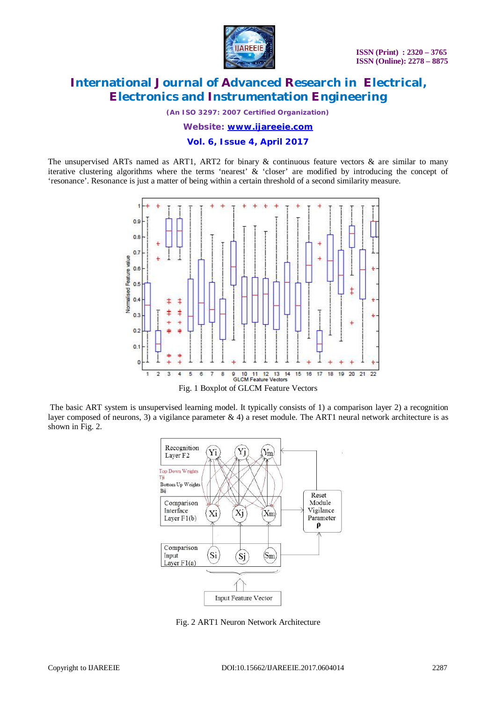

*(An ISO 3297: 2007 Certified Organization)*

*Website: [www.ijareeie.com](http://www.ijareeie.com)*

**Vol. 6, Issue 4, April 2017**

The unsupervised ARTs named as ART1, ART2 for binary  $\&$  continuous feature vectors  $\&$  are similar to many iterative clustering algorithms where the terms 'nearest' & 'closer' are modified by introducing the concept of 'resonance'. Resonance is just a matter of being within a certain threshold of a second similarity measure.



The basic ART system is unsupervised learning model. It typically consists of 1) a comparison layer 2) a recognition layer composed of neurons, 3) a vigilance parameter & 4) a reset module. The ART1 neural network architecture is as shown in Fig. 2.



Fig. 2 ART1 Neuron Network Architecture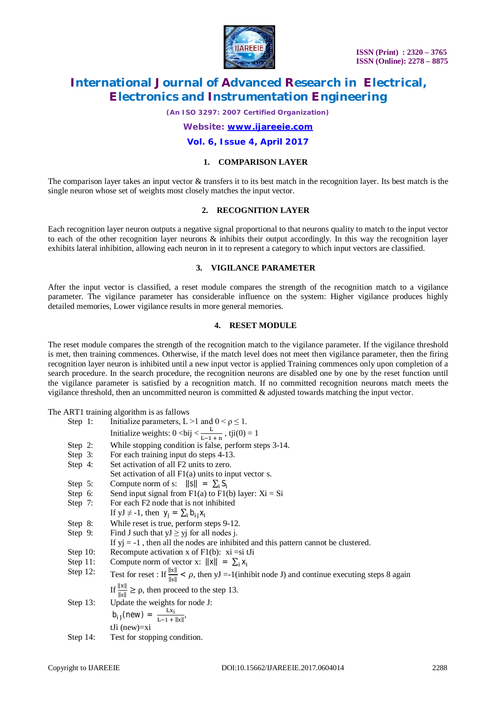

*(An ISO 3297: 2007 Certified Organization)*

*Website: [www.ijareeie.com](http://www.ijareeie.com)*

#### **Vol. 6, Issue 4, April 2017**

#### **1. COMPARISON LAYER**

The comparison layer takes an input vector  $\&$  transfers it to its best match in the recognition layer. Its best match is the single neuron whose set of weights most closely matches the input vector.

#### **2. RECOGNITION LAYER**

Each recognition layer neuron outputs a negative signal proportional to that neurons quality to match to the input vector to each of the other recognition layer neurons & inhibits their output accordingly. In this way the recognition layer exhibits lateral inhibition, allowing each neuron in it to represent a category to which input vectors are classified.

#### **3. VIGILANCE PARAMETER**

After the input vector is classified, a reset module compares the strength of the recognition match to a vigilance parameter. The vigilance parameter has considerable influence on the system: Higher vigilance produces highly detailed memories, Lower vigilance results in more general memories.

#### **4. RESET MODULE**

The reset module compares the strength of the recognition match to the vigilance parameter. If the vigilance threshold is met, then training commences. Otherwise, if the match level does not meet then vigilance parameter, then the firing recognition layer neuron is inhibited until a new input vector is applied Training commences only upon completion of a search procedure. In the search procedure, the recognition neurons are disabled one by one by the reset function until the vigilance parameter is satisfied by a recognition match. If no committed recognition neurons match meets the vigilance threshold, then an uncommitted neuron is committed & adjusted towards matching the input vector.

The ART1 training algorithm is as fallows

| Step 1:     | Initialize parameters, L >1 and $0 < \rho \le 1$ .                                                                  |
|-------------|---------------------------------------------------------------------------------------------------------------------|
|             | Initialize weights: $0 < bij < \frac{L}{L(1 + i\pi)}$ , tji $(0) = 1$                                               |
| Step 2:     | While stopping condition is false, perform steps 3-14.                                                              |
| Step $3:$   | For each training input do steps 4-13.                                                                              |
| Step $4$ :  | Set activation of all F2 units to zero.                                                                             |
|             | Set activation of all $F1(a)$ units to input vector s.                                                              |
| Step $5$ :  | Compute norm of s: $  s   = \sum_i S_i$                                                                             |
| Step $6:$   | Send input signal from $F1(a)$ to $F1(b)$ layer: $Xi = Si$                                                          |
| Step 7:     | For each F2 node that is not inhibited                                                                              |
|             | If $yJ \neq -1$ , then $y_i = \sum_i b_{i,j} x_i$                                                                   |
| Step 8:     | While reset is true, perform steps 9-12.                                                                            |
| Step 9:     | Find J such that $yJ \geq yj$ for all nodes j.                                                                      |
|             | If $yi = -1$ , then all the nodes are inhibited and this pattern cannot be clustered.                               |
| Step $10$ : | Recompute activation x of $F1(b)$ : xi = si tJi                                                                     |
| Step $11$ : | Compute norm of vector x: $  x   = \sum_i x_i$                                                                      |
| Step $12$ : | Test for reset : If $\frac{  x  }{  x  } < \rho$ , then yJ =-1(inhibit node J) and continue executing steps 8 again |
|             | If $\frac{  x  }{  x  } \ge \rho$ , then proceed to the step 13.                                                    |
| Step $13$ : | Update the weights for node J:                                                                                      |
|             | $b_{ij}$ (new) = $\frac{Lx_i}{L-1 +   x  }$ ,                                                                       |
|             | $tJi$ (new)=xi                                                                                                      |
| Step $14$ : | Test for stopping condition.                                                                                        |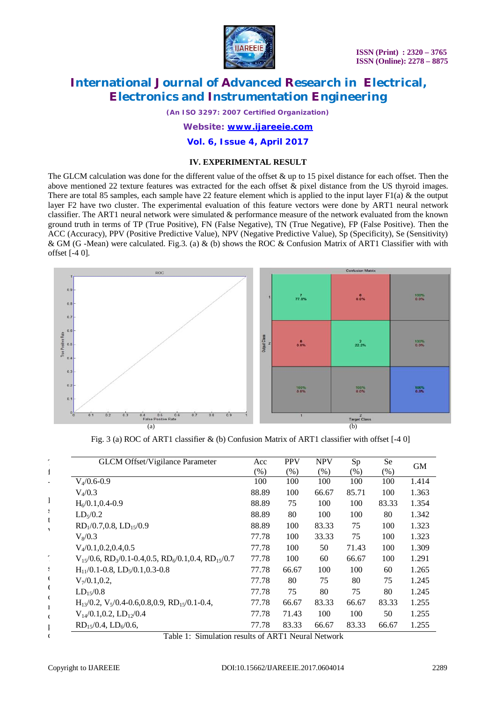

*(An ISO 3297: 2007 Certified Organization)*

*Website: [www.ijareeie.com](http://www.ijareeie.com)*

### **Vol. 6, Issue 4, April 2017**

### **IV. EXPERIMENTAL RESULT**

The GLCM calculation was done for the different value of the offset  $\&$  up to 15 pixel distance for each offset. Then the above mentioned 22 texture features was extracted for the each offset & pixel distance from the US thyroid images. There are total 85 samples, each sample have 22 feature element which is applied to the input layer  $F1(a)$  & the output layer F2 have two cluster. The experimental evaluation of this feature vectors were done by ART1 neural network classifier. The ART1 neural network were simulated & performance measure of the network evaluated from the known ground truth in terms of TP (True Positive), FN (False Negative), TN (True Negative), FP (False Positive). Then the ACC (Accuracy), PPV (Positive Predictive Value), NPV (Negative Predictive Value), Sp (Specificity), Se (Sensitivity) & GM (G -Mean) were calculated. Fig.3. (a) & (b) shows the ROC & Confusion Matrix of ART1 Classifier with with offset [-4 0].



Fig. 3 (a) ROC of ART1 classifier & (b) Confusion Matrix of ART1 classifier with offset [-4 0]

| <b>GLCM Offset/Vigilance Parameter</b>                                                       | Acc    | <b>PPV</b> | <b>NPV</b> | Sp     | Se     | <b>GM</b> |
|----------------------------------------------------------------------------------------------|--------|------------|------------|--------|--------|-----------|
|                                                                                              | $(\%)$ | $(\%)$     | (% )       | $(\%)$ | $(\%)$ |           |
| $V_4/0.6-0.9$                                                                                | 100    | 100        | 100        | 100    | 100    | 1.414     |
| $V_4/0.3$                                                                                    | 88.89  | 100        | 66.67      | 85.71  | 100    | 1.363     |
| $H_6/0.1$ , 0.4-0.9                                                                          | 88.89  | 75         | 100        | 100    | 83.33  | 1.354     |
| LD <sub>5</sub> /0.2                                                                         | 88.89  | 80         | 100        | 100    | 80     | 1.342     |
| $RD1/0.7, 0.8, LD15/0.9$                                                                     | 88.89  | 100        | 83.33      | 75     | 100    | 1.323     |
| $V_8/0.3$                                                                                    | 77.78  | 100        | 33.33      | 75     | 100    | 1.323     |
| $V_4/0.1, 0.2, 0.4, 0.5$                                                                     | 77.78  | 100        | 50         | 71.43  | 100    | 1.309     |
| $V_{15}/0.6$ , RD <sub>3</sub> /0.1-0.4,0.5, RD <sub>6</sub> /0.1,0.4, RD <sub>15</sub> /0.7 | 77.78  | 100        | 60         | 66.67  | 100    | 1.291     |
| $H_{11}/0.1 - 0.8$ , LD <sub>5</sub> /0.1,0.3-0.8                                            | 77.78  | 66.67      | 100        | 100    | 60     | 1.265     |
| $V_7/0.1, 0.2,$                                                                              | 77.78  | 80         | 75         | 80     | 75     | 1.245     |
| $LD_{15}/0.8$                                                                                | 77.78  | 75         | 80         | 75     | 80     | 1.245     |
| $H_{13}/0.2$ , $V_5/0.4$ -0.6,0.8,0.9, RD <sub>15</sub> /0.1-0.4,                            | 77.78  | 66.67      | 83.33      | 66.67  | 83.33  | 1.255     |
| $V_{14}/0.1, 0.2, LD_{12}/0.4$                                                               | 77.78  | 71.43      | 100        | 100    | 50     | 1.255     |
| $RD_{15}/0.4$ , $LD_{6}/0.6$ ,                                                               | 77.78  | 83.33      | 66.67      | 83.33  | 66.67  | 1.255     |

Table 1: Simulation results of ART1 Neural Network